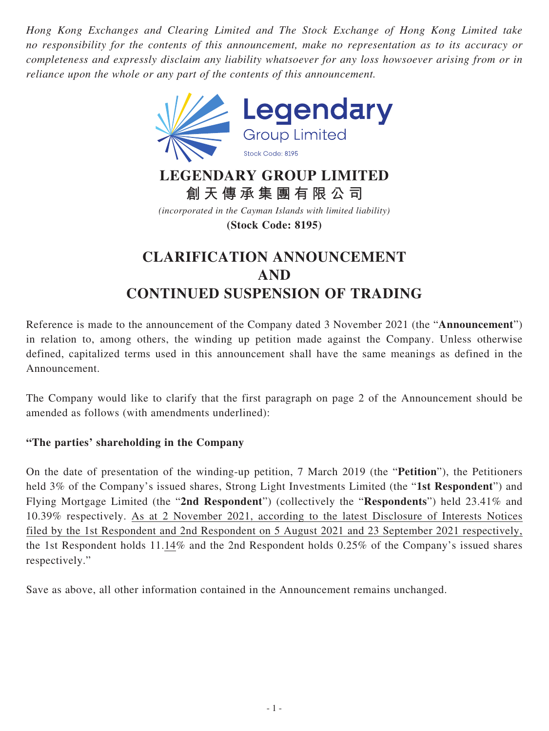*Hong Kong Exchanges and Clearing Limited and The Stock Exchange of Hong Kong Limited take no responsibility for the contents of this announcement, make no representation as to its accuracy or completeness and expressly disclaim any liability whatsoever for any loss howsoever arising from or in reliance upon the whole or any part of the contents of this announcement.*



## **LEGENDARY GROUP LIMITED 創天傳承集團有限公司**

*(incorporated in the Cayman Islands with limited liability)* **(Stock Code: 8195)**

## **CLARIFICATION ANNOUNCEMENT AND CONTINUED SUSPENSION OF TRADING**

Reference is made to the announcement of the Company dated 3 November 2021 (the "**Announcement**") in relation to, among others, the winding up petition made against the Company. Unless otherwise defined, capitalized terms used in this announcement shall have the same meanings as defined in the Announcement.

The Company would like to clarify that the first paragraph on page 2 of the Announcement should be amended as follows (with amendments underlined):

## **"The parties' shareholding in the Company**

On the date of presentation of the winding-up petition, 7 March 2019 (the "**Petition**"), the Petitioners held 3% of the Company's issued shares, Strong Light Investments Limited (the "**1st Respondent**") and Flying Mortgage Limited (the "**2nd Respondent**") (collectively the "**Respondents**") held 23.41% and 10.39% respectively. As at 2 November 2021, according to the latest Disclosure of Interests Notices filed by the 1st Respondent and 2nd Respondent on 5 August 2021 and 23 September 2021 respectively, the 1st Respondent holds 11.14% and the 2nd Respondent holds 0.25% of the Company's issued shares respectively."

Save as above, all other information contained in the Announcement remains unchanged.